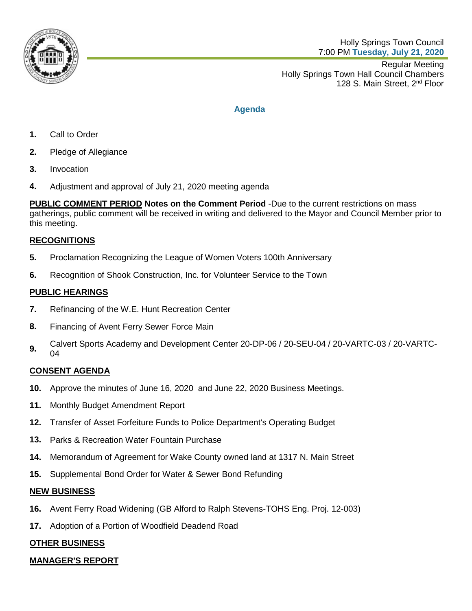

Regular Meeting Holly Springs Town Hall Council Chambers 128 S. Main Street, 2<sup>nd</sup> Floor

# **Agenda**

- **1.** Call to Order
- **2.** Pledge of Allegiance
- **3.** Invocation
- **4.** Adjustment and approval of July 21, 2020 meeting agenda

**PUBLIC COMMENT PERIOD Notes on the Comment Period** -Due to the current restrictions on mass gatherings, public comment will be received in writing and delivered to the Mayor and Council Member prior to this meeting.

# **RECOGNITIONS**

- **5.** Proclamation Recognizing the League of Women Voters 100th Anniversary
- **6.** Recognition of Shook Construction, Inc. for Volunteer Service to the Town

# **PUBLIC HEARINGS**

- **7.** Refinancing of the W.E. Hunt Recreation Center
- **8.** Financing of Avent Ferry Sewer Force Main
- **9.** Calvert Sports Academy and Development Center 20-DP-06 / 20-SEU-04 / 20-VARTC-03 / 20-VARTC-04

# **CONSENT AGENDA**

- **10.** Approve the minutes of June 16, 2020 and June 22, 2020 Business Meetings.
- **11.** Monthly Budget Amendment Report
- **12.** Transfer of Asset Forfeiture Funds to Police Department's Operating Budget
- **13.** Parks & Recreation Water Fountain Purchase
- **14.** Memorandum of Agreement for Wake County owned land at 1317 N. Main Street
- **15.** Supplemental Bond Order for Water & Sewer Bond Refunding

# **NEW BUSINESS**

- **16.** Avent Ferry Road Widening (GB Alford to Ralph Stevens-TOHS Eng. Proj. 12-003)
- **17.** Adoption of a Portion of Woodfield Deadend Road

# **OTHER BUSINESS**

# **MANAGER'S REPORT**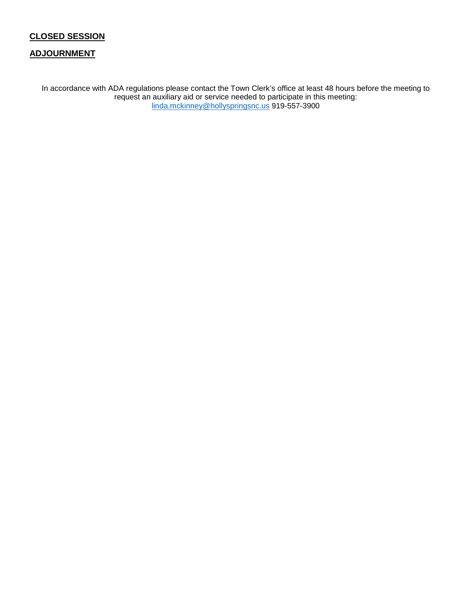# **CLOSED SESSION**

#### **ADJOURNMENT**

In accordance with ADA regulations please contact the Town Clerk's office at least 48 hours before the meeting to request an auxiliary aid or service needed to participate in this meeting: [linda.mckinney@hollyspringsnc.us](mailto:linda.mckinney@hollyspringsnc.us) 919-557-3900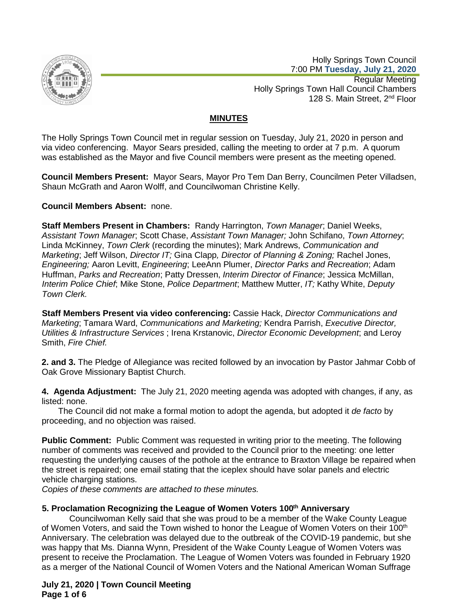

Holly Springs Town Council 7:00 PM **Tuesday, July 21, 2020**

Regular Meeting Holly Springs Town Hall Council Chambers 128 S. Main Street, 2<sup>nd</sup> Floor

# **MINUTES**

The Holly Springs Town Council met in regular session on Tuesday, July 21, 2020 in person and via video conferencing. Mayor Sears presided, calling the meeting to order at 7 p.m. A quorum was established as the Mayor and five Council members were present as the meeting opened.

**Council Members Present:** Mayor Sears, Mayor Pro Tem Dan Berry, Councilmen Peter Villadsen, Shaun McGrath and Aaron Wolff, and Councilwoman Christine Kelly.

**Council Members Absent:** none.

**Staff Members Present in Chambers:** Randy Harrington, *Town Manager*; Daniel Weeks, *Assistant Town Manager*; Scott Chase, *Assistant Town Manager;* John Schifano, *Town Attorney*; Linda McKinney, *Town Clerk* (recording the minutes); Mark Andrews, *Communication and Marketing*; Jeff Wilson, *Director IT;* Gina Clapp*, Director of Planning & Zoning;* Rachel Jones, *Engineering;* Aaron Levitt, *Engineering*; LeeAnn Plumer, *Director Parks and Recreation*; Adam Huffman, *Parks and Recreation*; Patty Dressen, *Interim Director of Finance*; Jessica McMillan, *Interim Police Chief*; Mike Stone, *Police Department*; Matthew Mutter, *IT;* Kathy White, *Deputy Town Clerk.*

**Staff Members Present via video conferencing:** Cassie Hack, *Director Communications and Marketing*; Tamara Ward, *Communications and Marketing;* Kendra Parrish, *Executive Director, Utilities & Infrastructure Services* ; Irena Krstanovic, *Director Economic Development*; and Leroy Smith, *Fire Chief.*

**2. and 3.** The Pledge of Allegiance was recited followed by an invocation by Pastor Jahmar Cobb of Oak Grove Missionary Baptist Church.

**4. Agenda Adjustment:** The July 21, 2020 meeting agenda was adopted with changes, if any, as listed: none.

 The Council did not make a formal motion to adopt the agenda, but adopted it *de facto* by proceeding, and no objection was raised.

**Public Comment:** Public Comment was requested in writing prior to the meeting. The following number of comments was received and provided to the Council prior to the meeting: one letter requesting the underlying causes of the pothole at the entrance to Braxton Village be repaired when the street is repaired; one email stating that the iceplex should have solar panels and electric vehicle charging stations.

*Copies of these comments are attached to these minutes.*

## **5. Proclamation Recognizing the League of Women Voters 100th Anniversary**

Councilwoman Kelly said that she was proud to be a member of the Wake County League of Women Voters, and said the Town wished to honor the League of Women Voters on their 100<sup>th</sup> Anniversary. The celebration was delayed due to the outbreak of the COVID-19 pandemic, but she was happy that Ms. Dianna Wynn, President of the Wake County League of Women Voters was present to receive the Proclamation. The League of Women Voters was founded in February 1920 as a merger of the National Council of Women Voters and the National American Woman Suffrage

**July 21, 2020 | Town Council Meeting Page 1 of 6**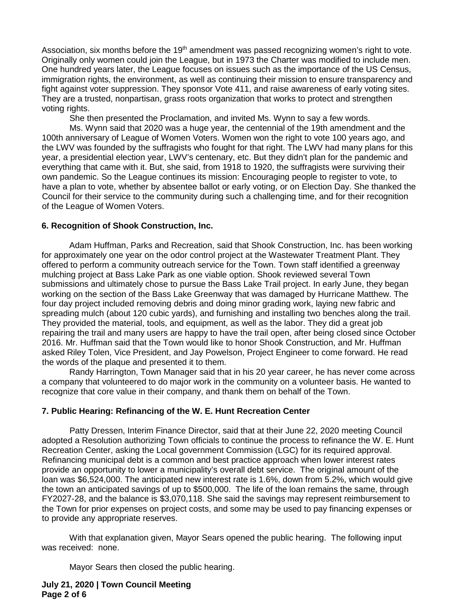Association, six months before the 19<sup>th</sup> amendment was passed recognizing women's right to vote. Originally only women could join the League, but in 1973 the Charter was modified to include men. One hundred years later, the League focuses on issues such as the importance of the US Census, immigration rights, the environment, as well as continuing their mission to ensure transparency and fight against voter suppression. They sponsor Vote 411, and raise awareness of early voting sites. They are a trusted, nonpartisan, grass roots organization that works to protect and strengthen voting rights.

She then presented the Proclamation, and invited Ms. Wynn to say a few words.

Ms. Wynn said that 2020 was a huge year, the centennial of the 19th amendment and the 100th anniversary of League of Women Voters. Women won the right to vote 100 years ago, and the LWV was founded by the suffragists who fought for that right. The LWV had many plans for this year, a presidential election year, LWV's centenary, etc. But they didn't plan for the pandemic and everything that came with it. But, she said, from 1918 to 1920, the suffragists were surviving their own pandemic. So the League continues its mission: Encouraging people to register to vote, to have a plan to vote, whether by absentee ballot or early voting, or on Election Day. She thanked the Council for their service to the community during such a challenging time, and for their recognition of the League of Women Voters.

#### **6. Recognition of Shook Construction, Inc.**

Adam Huffman, Parks and Recreation, said that Shook Construction, Inc. has been working for approximately one year on the odor control project at the Wastewater Treatment Plant. They offered to perform a community outreach service for the Town. Town staff identified a greenway mulching project at Bass Lake Park as one viable option. Shook reviewed several Town submissions and ultimately chose to pursue the Bass Lake Trail project. In early June, they began working on the section of the Bass Lake Greenway that was damaged by Hurricane Matthew. The four day project included removing debris and doing minor grading work, laying new fabric and spreading mulch (about 120 cubic yards), and furnishing and installing two benches along the trail. They provided the material, tools, and equipment, as well as the labor. They did a great job repairing the trail and many users are happy to have the trail open, after being closed since October 2016. Mr. Huffman said that the Town would like to honor Shook Construction, and Mr. Huffman asked Riley Tolen, Vice President, and Jay Powelson, Project Engineer to come forward. He read the words of the plaque and presented it to them.

Randy Harrington, Town Manager said that in his 20 year career, he has never come across a company that volunteered to do major work in the community on a volunteer basis. He wanted to recognize that core value in their company, and thank them on behalf of the Town.

## **7. Public Hearing: Refinancing of the W. E. Hunt Recreation Center**

Patty Dressen, Interim Finance Director, said that at their June 22, 2020 meeting Council adopted a Resolution authorizing Town officials to continue the process to refinance the W. E. Hunt Recreation Center, asking the Local government Commission (LGC) for its required approval. Refinancing municipal debt is a common and best practice approach when lower interest rates provide an opportunity to lower a municipality's overall debt service. The original amount of the loan was \$6,524,000. The anticipated new interest rate is 1.6%, down from 5.2%, which would give the town an anticipated savings of up to \$500,000. The life of the loan remains the same, through FY2027-28, and the balance is \$3,070,118. She said the savings may represent reimbursement to the Town for prior expenses on project costs, and some may be used to pay financing expenses or to provide any appropriate reserves.

With that explanation given, Mayor Sears opened the public hearing. The following input was received: none.

Mayor Sears then closed the public hearing.

#### **July 21, 2020 | Town Council Meeting Page 2 of 6**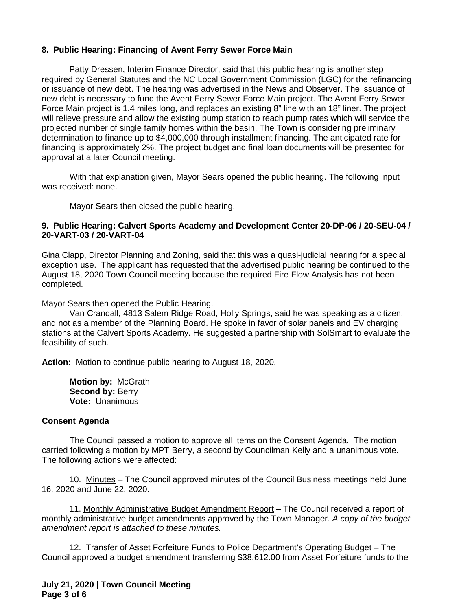## **8. Public Hearing: Financing of Avent Ferry Sewer Force Main**

Patty Dressen, Interim Finance Director, said that this public hearing is another step required by General Statutes and the NC Local Government Commission (LGC) for the refinancing or issuance of new debt. The hearing was advertised in the News and Observer. The issuance of new debt is necessary to fund the Avent Ferry Sewer Force Main project. The Avent Ferry Sewer Force Main project is 1.4 miles long, and replaces an existing 8" line with an 18" liner. The project will relieve pressure and allow the existing pump station to reach pump rates which will service the projected number of single family homes within the basin. The Town is considering preliminary determination to finance up to \$4,000,000 through installment financing. The anticipated rate for financing is approximately 2%. The project budget and final loan documents will be presented for approval at a later Council meeting.

With that explanation given, Mayor Sears opened the public hearing. The following input was received: none.

Mayor Sears then closed the public hearing.

#### **9. Public Hearing: Calvert Sports Academy and Development Center 20-DP-06 / 20-SEU-04 / 20-VART-03 / 20-VART-04**

Gina Clapp, Director Planning and Zoning, said that this was a quasi-judicial hearing for a special exception use. The applicant has requested that the advertised public hearing be continued to the August 18, 2020 Town Council meeting because the required Fire Flow Analysis has not been completed.

Mayor Sears then opened the Public Hearing.

Van Crandall, 4813 Salem Ridge Road, Holly Springs, said he was speaking as a citizen, and not as a member of the Planning Board. He spoke in favor of solar panels and EV charging stations at the Calvert Sports Academy. He suggested a partnership with SolSmart to evaluate the feasibility of such.

**Action:** Motion to continue public hearing to August 18, 2020.

**Motion by:** McGrath **Second by:** Berry **Vote:** Unanimous

## **Consent Agenda**

The Council passed a motion to approve all items on the Consent Agenda. The motion carried following a motion by MPT Berry, a second by Councilman Kelly and a unanimous vote. The following actions were affected:

10. Minutes – The Council approved minutes of the Council Business meetings held June 16, 2020 and June 22, 2020.

11. Monthly Administrative Budget Amendment Report – The Council received a report of monthly administrative budget amendments approved by the Town Manager. *A copy of the budget amendment report is attached to these minutes.*

12. Transfer of Asset Forfeiture Funds to Police Department's Operating Budget – The Council approved a budget amendment transferring \$38,612.00 from Asset Forfeiture funds to the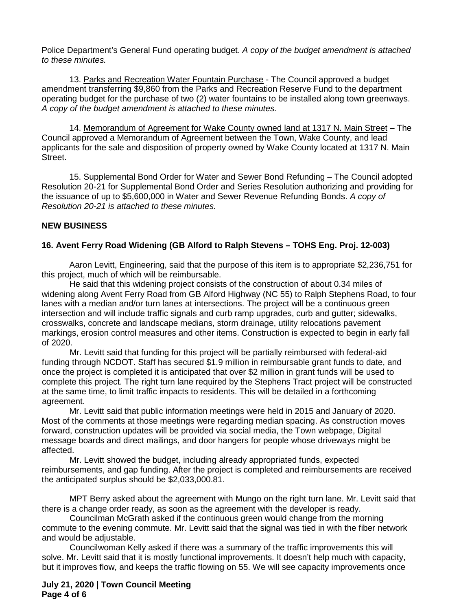Police Department's General Fund operating budget. *A copy of the budget amendment is attached to these minutes.*

13. Parks and Recreation Water Fountain Purchase - The Council approved a budget amendment transferring \$9,860 from the Parks and Recreation Reserve Fund to the department operating budget for the purchase of two (2) water fountains to be installed along town greenways. *A copy of the budget amendment is attached to these minutes.*

14. Memorandum of Agreement for Wake County owned land at 1317 N. Main Street – The Council approved a Memorandum of Agreement between the Town, Wake County, and lead applicants for the sale and disposition of property owned by Wake County located at 1317 N. Main Street.

15. Supplemental Bond Order for Water and Sewer Bond Refunding – The Council adopted Resolution 20-21 for Supplemental Bond Order and Series Resolution authorizing and providing for the issuance of up to \$5,600,000 in Water and Sewer Revenue Refunding Bonds. *A copy of Resolution 20-21 is attached to these minutes.*

## **NEW BUSINESS**

## **16. Avent Ferry Road Widening (GB Alford to Ralph Stevens – TOHS Eng. Proj. 12-003)**

Aaron Levitt, Engineering, said that the purpose of this item is to appropriate \$2,236,751 for this project, much of which will be reimbursable.

He said that this widening project consists of the construction of about 0.34 miles of widening along Avent Ferry Road from GB Alford Highway (NC 55) to Ralph Stephens Road, to four lanes with a median and/or turn lanes at intersections. The project will be a continuous green intersection and will include traffic signals and curb ramp upgrades, curb and gutter; sidewalks, crosswalks, concrete and landscape medians, storm drainage, utility relocations pavement markings, erosion control measures and other items. Construction is expected to begin in early fall of 2020.

Mr. Levitt said that funding for this project will be partially reimbursed with federal-aid funding through NCDOT. Staff has secured \$1.9 million in reimbursable grant funds to date, and once the project is completed it is anticipated that over \$2 million in grant funds will be used to complete this project. The right turn lane required by the Stephens Tract project will be constructed at the same time, to limit traffic impacts to residents. This will be detailed in a forthcoming agreement.

Mr. Levitt said that public information meetings were held in 2015 and January of 2020. Most of the comments at those meetings were regarding median spacing. As construction moves forward, construction updates will be provided via social media, the Town webpage, Digital message boards and direct mailings, and door hangers for people whose driveways might be affected.

Mr. Levitt showed the budget, including already appropriated funds, expected reimbursements, and gap funding. After the project is completed and reimbursements are received the anticipated surplus should be \$2,033,000.81.

MPT Berry asked about the agreement with Mungo on the right turn lane. Mr. Levitt said that there is a change order ready, as soon as the agreement with the developer is ready.

Councilman McGrath asked if the continuous green would change from the morning commute to the evening commute. Mr. Levitt said that the signal was tied in with the fiber network and would be adjustable.

Councilwoman Kelly asked if there was a summary of the traffic improvements this will solve. Mr. Levitt said that it is mostly functional improvements. It doesn't help much with capacity, but it improves flow, and keeps the traffic flowing on 55. We will see capacity improvements once

#### **July 21, 2020 | Town Council Meeting Page 4 of 6**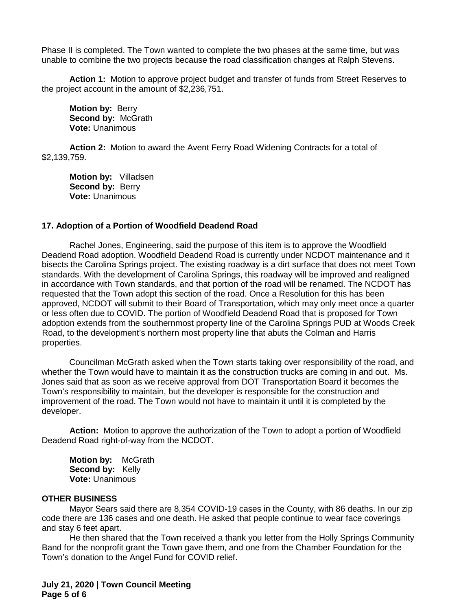Phase II is completed. The Town wanted to complete the two phases at the same time, but was unable to combine the two projects because the road classification changes at Ralph Stevens.

**Action 1:** Motion to approve project budget and transfer of funds from Street Reserves to the project account in the amount of \$2,236,751.

**Motion by:** Berry **Second by:** McGrath **Vote:** Unanimous

**Action 2:** Motion to award the Avent Ferry Road Widening Contracts for a total of \$2,139,759.

**Motion by:** Villadsen **Second by:** Berry **Vote:** Unanimous

#### **17. Adoption of a Portion of Woodfield Deadend Road**

Rachel Jones, Engineering, said the purpose of this item is to approve the Woodfield Deadend Road adoption. Woodfield Deadend Road is currently under NCDOT maintenance and it bisects the Carolina Springs project. The existing roadway is a dirt surface that does not meet Town standards. With the development of Carolina Springs, this roadway will be improved and realigned in accordance with Town standards, and that portion of the road will be renamed. The NCDOT has requested that the Town adopt this section of the road. Once a Resolution for this has been approved, NCDOT will submit to their Board of Transportation, which may only meet once a quarter or less often due to COVID. The portion of Woodfield Deadend Road that is proposed for Town adoption extends from the southernmost property line of the Carolina Springs PUD at Woods Creek Road, to the development's northern most property line that abuts the Colman and Harris properties.

Councilman McGrath asked when the Town starts taking over responsibility of the road, and whether the Town would have to maintain it as the construction trucks are coming in and out. Ms. Jones said that as soon as we receive approval from DOT Transportation Board it becomes the Town's responsibility to maintain, but the developer is responsible for the construction and improvement of the road. The Town would not have to maintain it until it is completed by the developer.

**Action:** Motion to approve the authorization of the Town to adopt a portion of Woodfield Deadend Road right-of-way from the NCDOT.

**Motion by:** McGrath **Second by:** Kelly **Vote:** Unanimous

#### **OTHER BUSINESS**

Mayor Sears said there are 8,354 COVID-19 cases in the County, with 86 deaths. In our zip code there are 136 cases and one death. He asked that people continue to wear face coverings and stay 6 feet apart.

He then shared that the Town received a thank you letter from the Holly Springs Community Band for the nonprofit grant the Town gave them, and one from the Chamber Foundation for the Town's donation to the Angel Fund for COVID relief.

**July 21, 2020 | Town Council Meeting Page 5 of 6**